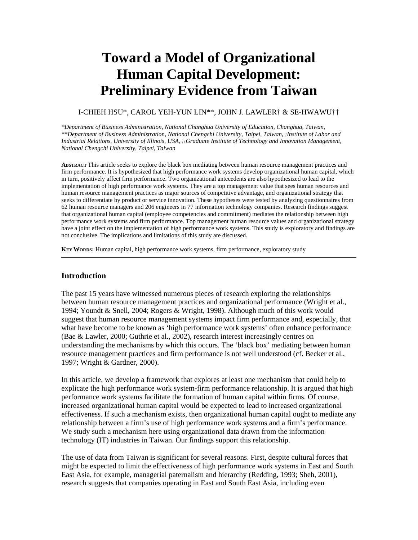# **Toward a Model of Organizational Human Capital Development: Preliminary Evidence from Taiwan**

### I-CHIEH HSU\*, CAROL YEH-YUN LIN\*\*, JOHN J. LAWLER† & SE-HWAWU††

*\*Department of Business Administration, National Changhua University of Education, Changhua, Taiwan, \*\*Department of Business Administration, National Chengchi University, Taipei, Taiwan, †Institute of Labor and Industrial Relations, University of Illinois, USA, ††Graduate Institute of Technology and Innovation Management, National Chengchi University, Taipei, Taiwan* 

**ABSTRACT** This article seeks to explore the black box mediating between human resource management practices and firm performance. It is hypothesized that high performance work systems develop organizational human capital, which in turn, positively affect firm performance. Two organizational antecedents are also hypothesized to lead to the implementation of high performance work systems. They are a top management value that sees human resources and human resource management practices as major sources of competitive advantage, and organizational strategy that seeks to differentiate by product or service innovation. These hypotheses were tested by analyzing questionnaires from 62 human resource managers and 206 engineers in 77 information technology companies. Research findings suggest that organizational human capital (employee competencies and commitment) mediates the relationship between high performance work systems and firm performance. Top management human resource values and organizational strategy have a joint effect on the implementation of high performance work systems. This study is exploratory and findings are not conclusive. The implications and limitations of this study are discussed.

**KEY WORDS:** Human capital, high performance work systems, firm performance, exploratory study

#### **Introduction**

The past 15 years have witnessed numerous pieces of research exploring the relationships between human resource management practices and organizational performance (Wright et al., 1994; Youndt & Snell, 2004; Rogers & Wright, 1998). Although much of this work would suggest that human resource management systems impact firm performance and, especially, that what have become to be known as 'high performance work systems' often enhance performance (Bae & Lawler, 2000; Guthrie et al., 2002), research interest increasingly centres on understanding the mechanisms by which this occurs. The 'black box' mediating between human resource management practices and firm performance is not well understood (cf. Becker et al., 1997; Wright & Gardner, 2000).

In this article, we develop a framework that explores at least one mechanism that could help to explicate the high performance work system-firm performance relationship. It is argued that high performance work systems facilitate the formation of human capital within firms. Of course, increased organizational human capital would be expected to lead to increased organizational effectiveness. If such a mechanism exists, then organizational human capital ought to mediate any relationship between a firm's use of high performance work systems and a firm's performance. We study such a mechanism here using organizational data drawn from the information technology (IT) industries in Taiwan. Our findings support this relationship.

The use of data from Taiwan is significant for several reasons. First, despite cultural forces that might be expected to limit the effectiveness of high performance work systems in East and South East Asia, for example, managerial paternalism and hierarchy (Redding, 1993; Sheh, 2001), research suggests that companies operating in East and South East Asia, including even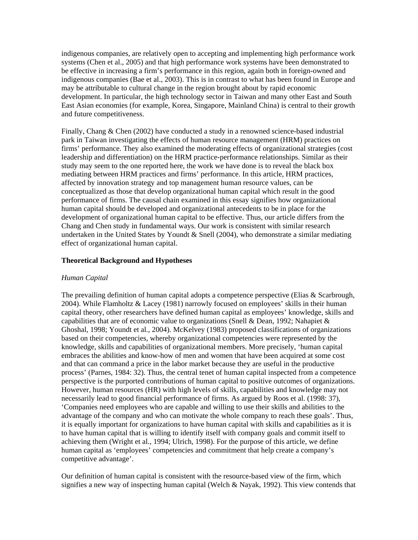indigenous companies, are relatively open to accepting and implementing high performance work systems (Chen et al., 2005) and that high performance work systems have been demonstrated to be effective in increasing a firm's performance in this region, again both in foreign-owned and indigenous companies (Bae et al., 2003). This is in contrast to what has been found in Europe and may be attributable to cultural change in the region brought about by rapid economic development. In particular, the high technology sector in Taiwan and many other East and South East Asian economies (for example, Korea, Singapore, Mainland China) is central to their growth and future competitiveness.

Finally, Chang & Chen (2002) have conducted a study in a renowned science-based industrial park in Taiwan investigating the effects of human resource management (HRM) practices on firms' performance. They also examined the moderating effects of organizational strategies (cost leadership and differentiation) on the HRM practice-performance relationships. Similar as their study may seem to the one reported here, the work we have done is to reveal the black box mediating between HRM practices and firms' performance. In this article, HRM practices, affected by innovation strategy and top management human resource values, can be conceptualized as those that develop organizational human capital which result in the good performance of firms. The causal chain examined in this essay signifies how organizational human capital should be developed and organizational antecedents to be in place for the development of organizational human capital to be effective. Thus, our article differs from the Chang and Chen study in fundamental ways. Our work is consistent with similar research undertaken in the United States by Youndt & Snell (2004), who demonstrate a similar mediating effect of organizational human capital.

## **Theoretical Background and Hypotheses**

## *Human Capital*

The prevailing definition of human capital adopts a competence perspective (Elias & Scarbrough, 2004). While Flamholtz & Lacey (1981) narrowly focused on employees' skills in their human capital theory, other researchers have defined human capital as employees' knowledge, skills and capabilities that are of economic value to organizations (Snell & Dean, 1992; Nahapiet & Ghoshal, 1998; Youndt et al., 2004). McKelvey (1983) proposed classifications of organizations based on their competencies, whereby organizational competencies were represented by the knowledge, skills and capabilities of organizational members. More precisely, 'human capital embraces the abilities and know-how of men and women that have been acquired at some cost and that can command a price in the labor market because they are useful in the productive process' (Parnes, 1984: 32). Thus, the central tenet of human capital inspected from a competence perspective is the purported contributions of human capital to positive outcomes of organizations. However, human resources (HR) with high levels of skills, capabilities and knowledge may not necessarily lead to good financial performance of firms. As argued by Roos et al. (1998: 37), 'Companies need employees who are capable and willing to use their skills and abilities to the advantage of the company and who can motivate the whole company to reach these goals'. Thus, it is equally important for organizations to have human capital with skills and capabilities as it is to have human capital that is willing to identify itself with company goals and commit itself to achieving them (Wright et al., 1994; Ulrich, 1998). For the purpose of this article, we define human capital as 'employees' competencies and commitment that help create a company's competitive advantage'.

Our definition of human capital is consistent with the resource-based view of the firm, which signifies a new way of inspecting human capital (Welch & Nayak, 1992). This view contends that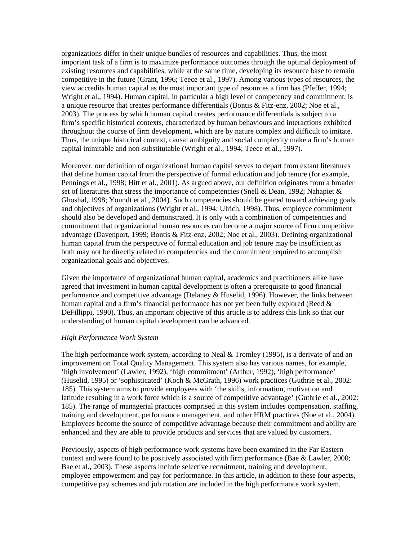organizations differ in their unique bundles of resources and capabilities. Thus, the most important task of a firm is to maximize performance outcomes through the optimal deployment of existing resources and capabilities, while at the same time, developing its resource base to remain competitive in the future (Grant, 1996; Teece et al., 1997). Among various types of resources, the view accredits human capital as the most important type of resources a firm has (Pfeffer, 1994; Wright et al., 1994). Human capital, in particular a high level of competency and commitment, is a unique resource that creates performance differentials (Bontis & Fitz-enz, 2002; Noe et al., 2003). The process by which human capital creates performance differentials is subject to a firm's specific historical contexts, characterized by human behaviours and interactions exhibited throughout the course of firm development, which are by nature complex and difficult to imitate. Thus, the unique historical context, causal ambiguity and social complexity make a firm's human capital inimitable and non-substitutable (Wright et al., 1994; Teece et al., 1997).

Moreover, our definition of organizational human capital serves to depart from extant literatures that define human capital from the perspective of formal education and job tenure (for example, Pennings et al., 1998; Hitt et al., 2001). As argued above, our definition originates from a broader set of literatures that stress the importance of competencies (Snell & Dean, 1992; Nahapiet & Ghoshal, 1998; Youndt et al., 2004). Such competencies should be geared toward achieving goals and objectives of organizations (Wright et al., 1994; Ulrich, 1998). Thus, employee commitment should also be developed and demonstrated. It is only with a combination of competencies and commitment that organizational human resources can become a major source of firm competitive advantage (Davenport, 1999; Bontis & Fitz-enz, 2002; Noe et al., 2003). Defining organizational human capital from the perspective of formal education and job tenure may be insufficient as both may not be directly related to competencies and the commitment required to accomplish organizational goals and objectives.

Given the importance of organizational human capital, academics and practitioners alike have agreed that investment in human capital development is often a prerequisite to good financial performance and competitive advantage (Delaney & Huselid, 1996). However, the links between human capital and a firm's financial performance has not yet been fully explored (Reed  $\&$ DeFillippi, 1990). Thus, an important objective of this article is to address this link so that our understanding of human capital development can be advanced.

#### *High Performance Work System*

The high performance work system, according to Neal & Tromley (1995), is a derivate of and an improvement on Total Quality Management. This system also has various names, for example, 'high involvement' (Lawler, 1992), 'high commitment' (Arthur, 1992), 'high performance' (Huselid, 1995) or 'sophisticated' (Koch & McGrath, 1996) work practices (Guthrie et al., 2002: 185). This system aims to provide employees with 'the skills, information, motivation and latitude resulting in a work force which is a source of competitive advantage' (Guthrie et al., 2002: 185). The range of managerial practices comprised in this system includes compensation, staffing, training and development, performance management, and other HRM practices (Noe et al., 2004). Employees become the source of competitive advantage because their commitment and ability are enhanced and they are able to provide products and services that are valued by customers.

Previously, aspects of high performance work systems have been examined in the Far Eastern context and were found to be positively associated with firm performance (Bae & Lawler, 2000; Bae et al., 2003). These aspects include selective recruitment, training and development, employee empowerment and pay for performance. In this article, in addition to these four aspects, competitive pay schemes and job rotation are included in the high performance work system.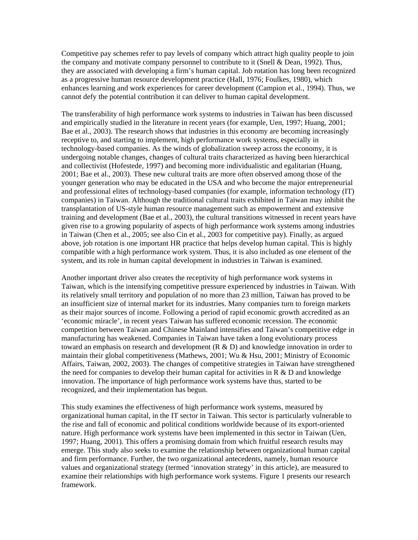Competitive pay schemes refer to pay levels of company which attract high quality people to join the company and motivate company personnel to contribute to it (Snell & Dean, 1992). Thus, they are associated with developing a firm's human capital. Job rotation has long been recognized as a progressive human resource development practice (Hall, 1976; Foulkes, 1980), which enhances learning and work experiences for career development (Campion et al., 1994). Thus, we cannot defy the potential contribution it can deliver to human capital development.

The transferability of high performance work systems to industries in Taiwan has been discussed and empirically studied in the literature in recent years (for example, Uen, 1997; Huang, 2001; Bae et al., 2003). The research shows that industries in this economy are becoming increasingly receptive to, and starting to implement, high performance work systems, especially in technology-based companies. As the winds of globalization sweep across the economy, it is undergoing notable changes, changes of cultural traits characterized as having been hierarchical and collectivist (Hofestede, 1997) and becoming more individualistic and egalitarian (Huang, 2001; Bae et al., 2003). These new cultural traits are more often observed among those of the younger generation who may be educated in the USA and who become the major entrepreneurial and professional elites of technology-based companies (for example, information technology (IT) companies) in Taiwan. Although the traditional cultural traits exhibited in Taiwan may inhibit the transplantation of US-style human resource management such as empowerment and extensive training and development (Bae et al., 2003), the cultural transitions witnessed in recent years have given rise to a growing popularity of aspects of high performance work systems among industries in Taiwan (Chen et al., 2005; see also Cin et al., 2003 for competitive pay). Finally, as argued above, job rotation is one important HR practice that helps develop human capital. This is highly compatible with a high performance work system. Thus, it is also included as one element of the system, and its role in human capital development in industries in Taiwan is examined.

Another important driver also creates the receptivity of high performance work systems in Taiwan, which is the intensifying competitive pressure experienced by industries in Taiwan. With its relatively small territory and population of no more than 23 million, Taiwan has proved to be an insufficient size of internal market for its industries. Many companies turn to foreign markets as their major sources of income. Following a period of rapid economic growth accredited as an 'economic miracle', in recent years Taiwan has suffered economic recession. The economic competition between Taiwan and Chinese Mainland intensifies and Taiwan's competitive edge in manufacturing has weakened. Companies in Taiwan have taken a long evolutionary process toward an emphasis on research and development  $(R & D)$  and knowledge innovation in order to maintain their global competitiveness (Mathews, 2001; Wu & Hsu, 2001; Ministry of Economic Affairs, Taiwan, 2002, 2003). The changes of competitive strategies in Taiwan have strengthened the need for companies to develop their human capital for activities in R  $\&$  D and knowledge innovation. The importance of high performance work systems have thus, started to be recognized, and their implementation has begun.

This study examines the effectiveness of high performance work systems, measured by organizational human capital, in the IT sector in Taiwan. This sector is particularly vulnerable to the rise and fall of economic and political conditions worldwide because of its export-oriented nature. High performance work systems have been implemented in this sector in Taiwan (Uen, 1997; Huang, 2001). This offers a promising domain from which fruitful research results may emerge. This study also seeks to examine the relationship between organizational human capital and firm performance. Further, the two organizational antecedents, namely, human resource values and organizational strategy (termed 'innovation strategy' in this article), are measured to examine their relationships with high performance work systems. Figure 1 presents our research framework.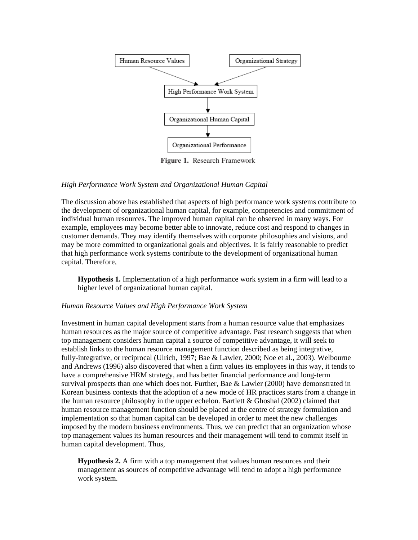

Figure 1. Research Framework

## *High Performance Work System and Organizational Human Capital*

The discussion above has established that aspects of high performance work systems contribute to the development of organizational human capital, for example, competencies and commitment of individual human resources. The improved human capital can be observed in many ways. For example, employees may become better able to innovate, reduce cost and respond to changes in customer demands. They may identify themselves with corporate philosophies and visions, and may be more committed to organizational goals and objectives. It is fairly reasonable to predict that high performance work systems contribute to the development of organizational human capital. Therefore,

**Hypothesis 1.** Implementation of a high performance work system in a firm will lead to a higher level of organizational human capital.

## *Human Resource Values and High Performance Work System*

Investment in human capital development starts from a human resource value that emphasizes human resources as the major source of competitive advantage. Past research suggests that when top management considers human capital a source of competitive advantage, it will seek to establish links to the human resource management function described as being integrative, fully-integrative, or reciprocal (Ulrich, 1997; Bae & Lawler, 2000; Noe et al., 2003). Welbourne and Andrews (1996) also discovered that when a firm values its employees in this way, it tends to have a comprehensive HRM strategy, and has better financial performance and long-term survival prospects than one which does not. Further, Bae & Lawler (2000) have demonstrated in Korean business contexts that the adoption of a new mode of HR practices starts from a change in the human resource philosophy in the upper echelon. Bartlett & Ghoshal (2002) claimed that human resource management function should be placed at the centre of strategy formulation and implementation so that human capital can be developed in order to meet the new challenges imposed by the modern business environments. Thus, we can predict that an organization whose top management values its human resources and their management will tend to commit itself in human capital development. Thus,

**Hypothesis 2.** A firm with a top management that values human resources and their management as sources of competitive advantage will tend to adopt a high performance work system.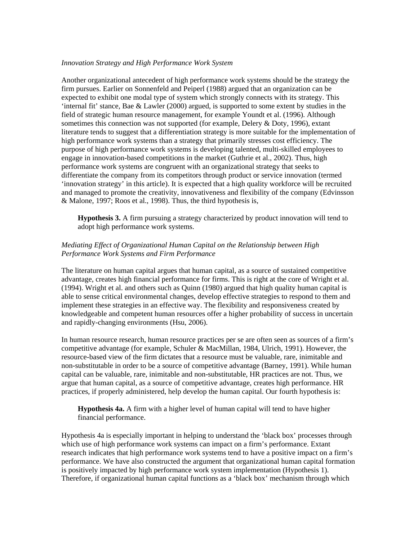#### *Innovation Strategy and High Performance Work System*

Another organizational antecedent of high performance work systems should be the strategy the firm pursues. Earlier on Sonnenfeld and Peiperl (1988) argued that an organization can be expected to exhibit one modal type of system which strongly connects with its strategy. This 'internal fit' stance, Bae & Lawler (2000) argued, is supported to some extent by studies in the field of strategic human resource management, for example Youndt et al. (1996). Although sometimes this connection was not supported (for example, Delery & Doty, 1996), extant literature tends to suggest that a differentiation strategy is more suitable for the implementation of high performance work systems than a strategy that primarily stresses cost efficiency. The purpose of high performance work systems is developing talented, multi-skilled employees to engage in innovation-based competitions in the market (Guthrie et al., 2002). Thus, high performance work systems are congruent with an organizational strategy that seeks to differentiate the company from its competitors through product or service innovation (termed 'innovation strategy' in this article). It is expected that a high quality workforce will be recruited and managed to promote the creativity, innovativeness and flexibility of the company (Edvinsson & Malone, 1997; Roos et al., 1998). Thus, the third hypothesis is,

**Hypothesis 3.** A firm pursuing a strategy characterized by product innovation will tend to adopt high performance work systems.

### *Mediating Effect of Organizational Human Capital on the Relationship between High Performance Work Systems and Firm Performance*

The literature on human capital argues that human capital, as a source of sustained competitive advantage, creates high financial performance for firms. This is right at the core of Wright et al. (1994). Wright et al. and others such as Quinn (1980) argued that high quality human capital is able to sense critical environmental changes, develop effective strategies to respond to them and implement these strategies in an effective way. The flexibility and responsiveness created by knowledgeable and competent human resources offer a higher probability of success in uncertain and rapidly-changing environments (Hsu, 2006).

In human resource research, human resource practices per se are often seen as sources of a firm's competitive advantage (for example, Schuler & MacMillan, 1984, Ulrich, 1991). However, the resource-based view of the firm dictates that a resource must be valuable, rare, inimitable and non-substitutable in order to be a source of competitive advantage (Barney, 1991). While human capital can be valuable, rare, inimitable and non-substitutable, HR practices are not. Thus, we argue that human capital, as a source of competitive advantage, creates high performance. HR practices, if properly administered, help develop the human capital. Our fourth hypothesis is:

**Hypothesis 4a.** A firm with a higher level of human capital will tend to have higher financial performance.

Hypothesis 4a is especially important in helping to understand the 'black box' processes through which use of high performance work systems can impact on a firm's performance. Extant research indicates that high performance work systems tend to have a positive impact on a firm's performance. We have also constructed the argument that organizational human capital formation is positively impacted by high performance work system implementation (Hypothesis 1). Therefore, if organizational human capital functions as a 'black box' mechanism through which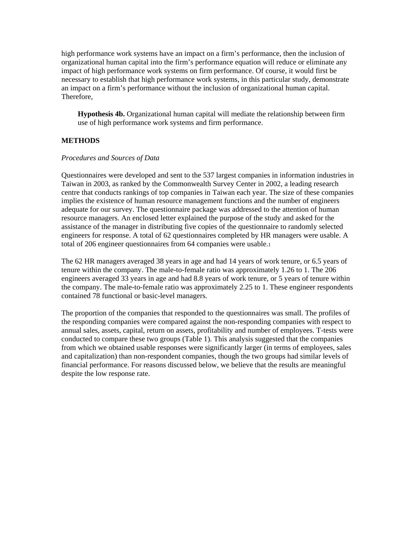high performance work systems have an impact on a firm's performance, then the inclusion of organizational human capital into the firm's performance equation will reduce or eliminate any impact of high performance work systems on firm performance. Of course, it would first be necessary to establish that high performance work systems, in this particular study, demonstrate an impact on a firm's performance without the inclusion of organizational human capital. Therefore,

**Hypothesis 4b.** Organizational human capital will mediate the relationship between firm use of high performance work systems and firm performance.

### **METHODS**

#### *Procedures and Sources of Data*

Questionnaires were developed and sent to the 537 largest companies in information industries in Taiwan in 2003, as ranked by the Commonwealth Survey Center in 2002, a leading research centre that conducts rankings of top companies in Taiwan each year. The size of these companies implies the existence of human resource management functions and the number of engineers adequate for our survey. The questionnaire package was addressed to the attention of human resource managers. An enclosed letter explained the purpose of the study and asked for the assistance of the manager in distributing five copies of the questionnaire to randomly selected engineers for response. A total of 62 questionnaires completed by HR managers were usable. A total of 206 engineer questionnaires from 64 companies were usable.1

The 62 HR managers averaged 38 years in age and had 14 years of work tenure, or 6.5 years of tenure within the company. The male-to-female ratio was approximately 1.26 to 1. The 206 engineers averaged 33 years in age and had 8.8 years of work tenure, or 5 years of tenure within the company. The male-to-female ratio was approximately 2.25 to 1. These engineer respondents contained 78 functional or basic-level managers.

The proportion of the companies that responded to the questionnaires was small. The profiles of the responding companies were compared against the non-responding companies with respect to annual sales, assets, capital, return on assets, profitability and number of employees. T-tests were conducted to compare these two groups (Table 1). This analysis suggested that the companies from which we obtained usable responses were significantly larger (in terms of employees, sales and capitalization) than non-respondent companies, though the two groups had similar levels of financial performance. For reasons discussed below, we believe that the results are meaningful despite the low response rate.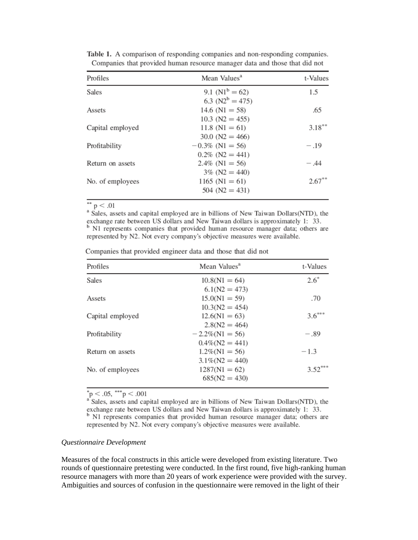| Profiles         | Mean Values <sup>a</sup>    | t-Values  |
|------------------|-----------------------------|-----------|
| Sales            | 9.1 $(N1^b = 62)$           | 1.5       |
|                  | 6.3 $(N2^b = 475)$          |           |
| Assets           | 14.6 ( $\mathrm{N1} = 58$ ) | .65       |
|                  | $10.3 (N2 = 455)$           |           |
| Capital employed | $11.8(N1 = 61)$             | $3.18***$ |
|                  | $30.0 \text{ (N2)} = 466$   |           |
| Profitability    | $-0.3\%$ (N1 = 56)          | $-.19$    |
|                  | $0.2\%$ (N2 = 441)          |           |
| Return on assets | 2.4\% (N1 = 56)             | - .44     |
|                  | $3\%$ (N2 = 440)            |           |
| No. of employees | $1165 (N1 = 61)$            | $2.67***$ |
|                  | $504 \text{ (N2)} = 431$    |           |
|                  |                             |           |

Table 1. A comparison of responding companies and non-responding companies. Companies that provided human resource manager data and those that did not

\*\*  $p < .01$ 

<sup>a</sup> Sales, assets and capital employed are in billions of New Taiwan Dollars(NTD), the exchange rate between US dollars and New Taiwan dollars is approximately 1: 33.<br><sup>b</sup> N1 represents companies that provided human resource manager data; others are represented by N2. Not every company's objective measures were available.

| Profiles         | Mean Values <sup>a</sup> | t-Values  |
|------------------|--------------------------|-----------|
| Sales            | $10.8(N1 = 64)$          | $2.6*$    |
|                  | $6.1(N2 = 473)$          |           |
| Assets           | $15.0(N1 = 59)$          | .70       |
|                  | $10.3(N2 = 454)$         |           |
| Capital employed | $12.6(N1 = 63)$          | $3.6***$  |
|                  | $2.8(N2 = 464)$          |           |
| Profitability    | $-2.2\%$ (N1 = 56)       | $-.89$    |
|                  | $0.4\%$ (N2 = 441)       |           |
| Return on assets | $1.2\%$ (N1 = 56)        | $-1.3$    |
|                  | $3.1\%$ (N2 = 440)       |           |
| No. of employees | $1287(N1 = 62)$          | $3.52***$ |
|                  | $685(N2 = 430)$          |           |
|                  |                          |           |

Companies that provided engineer data and those that did not

 $_{\rm p}^*$   $<$  .05, \*\*\*  $_{\rm p}$   $<$  .001

<sup>a</sup> Sales, assets and capital employed are in billions of New Taiwan Dollars(NTD), the exchange rate between US dollars and New Taiwan dollars is approximately 1: 33. <sup>b</sup> N1 represents companies that provided human resource manager data; others are represented by N2. Not every company's objective measures were available.

#### *Questionnaire Development*

Measures of the focal constructs in this article were developed from existing literature. Two rounds of questionnaire pretesting were conducted. In the first round, five high-ranking human resource managers with more than 20 years of work experience were provided with the survey. Ambiguities and sources of confusion in the questionnaire were removed in the light of their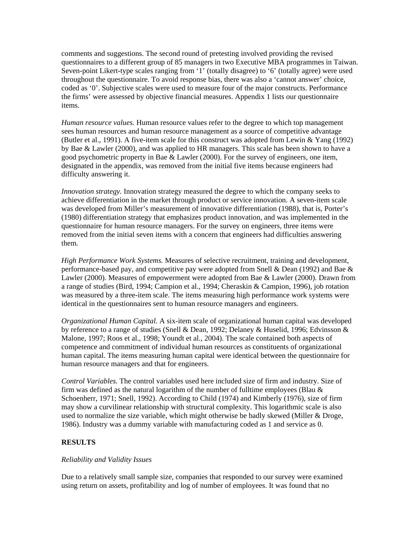comments and suggestions. The second round of pretesting involved providing the revised questionnaires to a different group of 85 managers in two Executive MBA programmes in Taiwan. Seven-point Likert-type scales ranging from '1' (totally disagree) to '6' (totally agree) were used throughout the questionnaire. To avoid response bias, there was also a 'cannot answer' choice, coded as '0'. Subjective scales were used to measure four of the major constructs. Performance the firms' were assessed by objective financial measures. Appendix 1 lists our questionnaire items.

*Human resource values.* Human resource values refer to the degree to which top management sees human resources and human resource management as a source of competitive advantage (Butler et al., 1991). A five-item scale for this construct was adopted from Lewin & Yang (1992) by Bae & Lawler (2000), and was applied to HR managers. This scale has been shown to have a good psychometric property in Bae & Lawler (2000). For the survey of engineers, one item, designated in the appendix, was removed from the initial five items because engineers had difficulty answering it.

*Innovation strategy.* Innovation strategy measured the degree to which the company seeks to achieve differentiation in the market through product or service innovation. A seven-item scale was developed from Miller's measurement of innovative differentiation (1988), that is, Porter's (1980) differentiation strategy that emphasizes product innovation, and was implemented in the questionnaire for human resource managers. For the survey on engineers, three items were removed from the initial seven items with a concern that engineers had difficulties answering them.

*High Performance Work Systems.* Measures of selective recruitment, training and development, performance-based pay, and competitive pay were adopted from Snell & Dean (1992) and Bae & Lawler (2000). Measures of empowerment were adopted from Bae & Lawler (2000). Drawn from a range of studies (Bird, 1994; Campion et al., 1994; Cheraskin & Campion, 1996), job rotation was measured by a three-item scale. The items measuring high performance work systems were identical in the questionnaires sent to human resource managers and engineers.

*Organizational Human Capital.* A six-item scale of organizational human capital was developed by reference to a range of studies (Snell & Dean, 1992; Delaney & Huselid, 1996; Edvinsson & Malone, 1997; Roos et al., 1998; Youndt et al., 2004). The scale contained both aspects of competence and commitment of individual human resources as constituents of organizational human capital. The items measuring human capital were identical between the questionnaire for human resource managers and that for engineers.

*Control Variables.* The control variables used here included size of firm and industry. Size of firm was defined as the natural logarithm of the number of fulltime employees (Blau  $\&$ Schoenherr, 1971; Snell, 1992). According to Child (1974) and Kimberly (1976), size of firm may show a curvilinear relationship with structural complexity. This logarithmic scale is also used to normalize the size variable, which might otherwise be badly skewed (Miller & Droge, 1986). Industry was a dummy variable with manufacturing coded as 1 and service as 0.

## **RESULTS**

## *Reliability and Validity Issues*

Due to a relatively small sample size, companies that responded to our survey were examined using return on assets, profitability and log of number of employees. It was found that no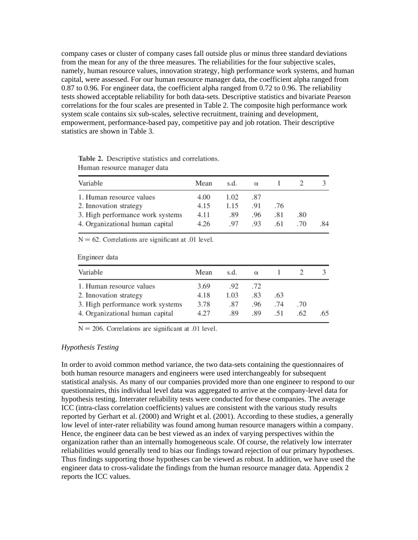company cases or cluster of company cases fall outside plus or minus three standard deviations from the mean for any of the three measures. The reliabilities for the four subjective scales, namely, human resource values, innovation strategy, high performance work systems, and human capital, were assessed. For our human resource manager data, the coefficient alpha ranged from 0.87 to 0.96. For engineer data, the coefficient alpha ranged from 0.72 to 0.96. The reliability tests showed acceptable reliability for both data-sets. Descriptive statistics and bivariate Pearson correlations for the four scales are presented in Table 2. The composite high performance work system scale contains six sub-scales, selective recruitment, training and development, empowerment, performance-based pay, competitive pay and job rotation. Their descriptive statistics are shown in Table 3.

| Variable                         | Mean | s.d. | $\alpha$ |     |     |     |
|----------------------------------|------|------|----------|-----|-----|-----|
| 1. Human resource values         | 4.00 | 1.02 | .87      |     |     |     |
| 2. Innovation strategy           | 4.15 | 1.15 | 91       | .76 |     |     |
| 3. High performance work systems | 4.11 | .89  | .96      | .81 | .80 |     |
| 4. Organizational human capital  | 4.26 | -97  | .93      | .61 | .70 | .84 |

Table 2. Descriptive statistics and correlations. Human resource manager data

 $N = 62$ . Correlations are significant at .01 level.

Engineer data

| Variable                         | Mean | s.d. | $\alpha$ |     |     |    |
|----------------------------------|------|------|----------|-----|-----|----|
| 1. Human resource values         | 3.69 | .92  | .72      |     |     |    |
| 2. Innovation strategy           | 4.18 | 1.03 | .83      | .63 |     |    |
| 3. High performance work systems | 3.78 | .87  | .96      | .74 | .70 |    |
| 4. Organizational human capital  | 4.27 | .89  | .89      | -51 | .62 | 65 |

 $N = 206$ . Correlations are significant at .01 level.

#### *Hypothesis Testing*

In order to avoid common method variance, the two data-sets containing the questionnaires of both human resource managers and engineers were used interchangeably for subsequent statistical analysis. As many of our companies provided more than one engineer to respond to our questionnaires, this individual level data was aggregated to arrive at the company-level data for hypothesis testing. Interrater reliability tests were conducted for these companies. The average ICC (intra-class correlation coefficients) values are consistent with the various study results reported by Gerhart et al. (2000) and Wright et al. (2001). According to these studies, a generally low level of inter-rater reliability was found among human resource managers within a company. Hence, the engineer data can be best viewed as an index of varying perspectives within the organization rather than an internally homogeneous scale. Of course, the relatively low interrater reliabilities would generally tend to bias our findings toward rejection of our primary hypotheses. Thus findings supporting those hypotheses can be viewed as robust. In addition, we have used the engineer data to cross-validate the findings from the human resource manager data. Appendix 2 reports the ICC values.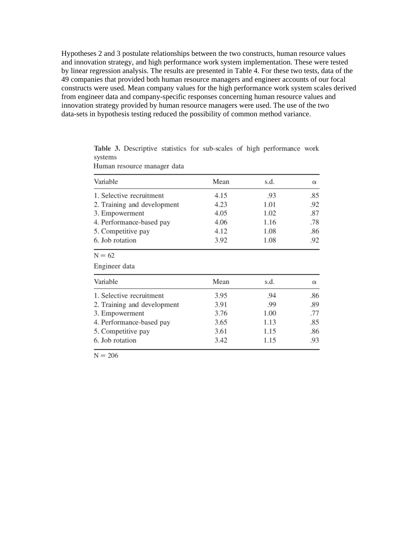Hypotheses 2 and 3 postulate relationships between the two constructs, human resource values and innovation strategy, and high performance work system implementation. These were tested by linear regression analysis. The results are presented in Table 4. For these two tests, data of the 49 companies that provided both human resource managers and engineer accounts of our focal constructs were used. Mean company values for the high performance work system scales derived from engineer data and company-specific responses concerning human resource values and innovation strategy provided by human resource managers were used. The use of the two data-sets in hypothesis testing reduced the possibility of common method variance.

| Variable                    | Mean | s.d. | $\alpha$ |
|-----------------------------|------|------|----------|
| 1. Selective recruitment    | 4.15 | .93  | .85      |
| 2. Training and development | 4.23 | 1.01 | .92      |
| 3. Empowerment              | 4.05 | 1.02 | .87      |
| 4. Performance-based pay    | 4.06 | 1.16 | .78      |
| 5. Competitive pay          | 4.12 | 1.08 | .86      |
| 6. Job rotation             | 3.92 | 1.08 | .92      |
| $N = 62$                    |      |      |          |
| Engineer data               |      |      |          |
| Variable                    | Mean | s.d. | $\alpha$ |
| 1. Selective recruitment    | 3.95 | .94  | .86      |
| 2. Training and development | 3.91 | .99  | .89      |
| 3. Empowerment              | 3.76 | 1.00 | .77      |
| 4. Performance-based pay    | 3.65 | 1.13 | .85      |
| 5. Competitive pay          | 3.61 | 1.15 | .86      |
| 6. Job rotation             | 3.42 | 1.15 | .93      |

Table 3. Descriptive statistics for sub-scales of high performance work systems

Human resource manager data

 $N = 206$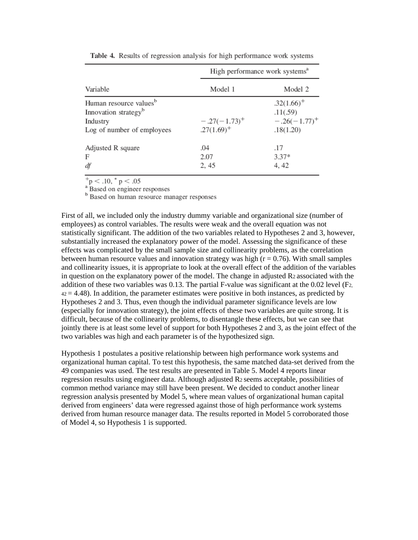|                                    |                          | High performance work systems <sup>a</sup> |  |  |
|------------------------------------|--------------------------|--------------------------------------------|--|--|
| Variable                           | Model 1                  | Model 2                                    |  |  |
| Human resource values <sup>b</sup> |                          | $.32(1.66)^+$                              |  |  |
| Innovation strategy <sup>b</sup>   |                          | .11(.59)                                   |  |  |
| Industry                           | $-.27(-1.73)^{+}$        | $-.26(-1.77)^+$                            |  |  |
| Log of number of employees         | $.27(1.69)$ <sup>+</sup> | .18(1.20)                                  |  |  |
| Adjusted R square                  | .04                      | .17                                        |  |  |
| F                                  | 2.07                     | $3.37*$                                    |  |  |
| df                                 | 2, 45                    | 4, 42                                      |  |  |

|  |  |  |  | Table 4. Results of regression analysis for high performance work systems |  |
|--|--|--|--|---------------------------------------------------------------------------|--|
|  |  |  |  |                                                                           |  |

 $+p < .10,$   $^*p < .05$ 

<sup>a</sup> Based on engineer responses

**b** Based on human resource manager responses

First of all, we included only the industry dummy variable and organizational size (number of employees) as control variables. The results were weak and the overall equation was not statistically significant. The addition of the two variables related to Hypotheses 2 and 3, however, substantially increased the explanatory power of the model. Assessing the significance of these effects was complicated by the small sample size and collinearity problems, as the correlation between human resource values and innovation strategy was high  $(r = 0.76)$ . With small samples and collinearity issues, it is appropriate to look at the overall effect of the addition of the variables in question on the explanatory power of the model. The change in adjusted  $R_2$  associated with the addition of these two variables was 0.13. The partial F-value was significant at the 0.02 level (F2,  $42 = 4.48$ ). In addition, the parameter estimates were positive in both instances, as predicted by Hypotheses 2 and 3. Thus, even though the individual parameter significance levels are low (especially for innovation strategy), the joint effects of these two variables are quite strong. It is difficult, because of the collinearity problems, to disentangle these effects, but we can see that jointly there is at least some level of support for both Hypotheses 2 and 3, as the joint effect of the two variables was high and each parameter is of the hypothesized sign.

Hypothesis 1 postulates a positive relationship between high performance work systems and organizational human capital. To test this hypothesis, the same matched data-set derived from the 49 companies was used. The test results are presented in Table 5. Model 4 reports linear regression results using engineer data. Although adjusted R2 seems acceptable, possibilities of common method variance may still have been present. We decided to conduct another linear regression analysis presented by Model 5, where mean values of organizational human capital derived from engineers' data were regressed against those of high performance work systems derived from human resource manager data. The results reported in Model 5 corroborated those of Model 4, so Hypothesis 1 is supported.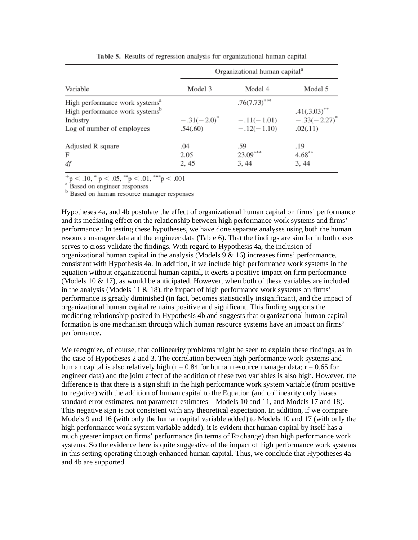|                                            |                | Organizational human capital <sup>a</sup> |                            |
|--------------------------------------------|----------------|-------------------------------------------|----------------------------|
| Variable                                   | Model 3        | Model 4                                   | Model 5                    |
| High performance work systems <sup>a</sup> |                | $.76(7.73)$ ***                           |                            |
| High performance work systems <sup>b</sup> |                |                                           | $.41(.3.03)$ <sup>**</sup> |
| Industry                                   | $-.31(-2.0)^*$ | $-.11(-1.01)$                             | $-.33(-2.27)^*$            |
| Log of number of employees                 | .54(.60)       | $-.12(-1.10)$                             | .02(.11)                   |
| Adjusted R square                          | .04            | .59                                       | .19                        |
| F                                          | 2.05           | $23.09***$                                | $4.68***$                  |
| df                                         | 2, 45          | 3,44                                      | 3,44                       |

Table 5. Results of regression analysis for organizational human capital

 $+{\rm p}$  < .10,  $*$  p < .05,  $*$  p < .01,  $*$   $*$  p < .001

<sup>a</sup> Based on engineer responses

**b** Based on human resource manager responses

Hypotheses 4a, and 4b postulate the effect of organizational human capital on firms' performance and its mediating effect on the relationship between high performance work systems and firms' performance.2 In testing these hypotheses, we have done separate analyses using both the human resource manager data and the engineer data (Table 6). That the findings are similar in both cases serves to cross-validate the findings. With regard to Hypothesis 4a, the inclusion of organizational human capital in the analysis (Models  $9 & 16$ ) increases firms' performance, consistent with Hypothesis 4a. In addition, if we include high performance work systems in the equation without organizational human capital, it exerts a positive impact on firm performance (Models 10  $\&$  17), as would be anticipated. However, when both of these variables are included in the analysis (Models 11  $\&$  18), the impact of high performance work systems on firms' performance is greatly diminished (in fact, becomes statistically insignificant), and the impact of organizational human capital remains positive and significant. This finding supports the mediating relationship posited in Hypothesis 4b and suggests that organizational human capital formation is one mechanism through which human resource systems have an impact on firms' performance.

We recognize, of course, that collinearity problems might be seen to explain these findings, as in the case of Hypotheses 2 and 3. The correlation between high performance work systems and human capital is also relatively high ( $r = 0.84$  for human resource manager data;  $r = 0.65$  for engineer data) and the joint effect of the addition of these two variables is also high. However, the difference is that there is a sign shift in the high performance work system variable (from positive to negative) with the addition of human capital to the Equation (and collinearity only biases standard error estimates, not parameter estimates – Models 10 and 11, and Models 17 and 18). This negative sign is not consistent with any theoretical expectation. In addition, if we compare Models 9 and 16 (with only the human capital variable added) to Models 10 and 17 (with only the high performance work system variable added), it is evident that human capital by itself has a much greater impact on firms' performance (in terms of R2 change) than high performance work systems. So the evidence here is quite suggestive of the impact of high performance work systems in this setting operating through enhanced human capital. Thus, we conclude that Hypotheses 4a and 4b are supported.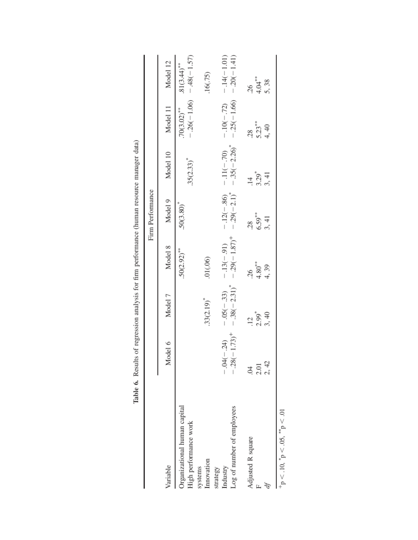|                                                       |                                                |                                 |                                        | Firm Performance     |                                                          |                |                                            |
|-------------------------------------------------------|------------------------------------------------|---------------------------------|----------------------------------------|----------------------|----------------------------------------------------------|----------------|--------------------------------------------|
| Variable                                              | Model 6                                        | Model 7                         | Model 8                                | Model 9              | Model 10                                                 | Model 11       | Model 12                                   |
| Organizational human capital<br>High performance work |                                                |                                 | $.50(2.92)$ <sup>**</sup>              | $50(3.80)^*$         | $.35(2.33)$ <sup>*</sup>                                 | $.70(3.02)$ ** | $-26(-1.06) -48(-1.57)$<br>$.81(3.44)$ **  |
| Innovation<br>systems                                 |                                                | $.33(2.19)^*$                   | .01(06)                                |                      |                                                          |                | .16(.75)                                   |
| Log of number of employees<br>Industry<br>strategy    | $-.28(-1.73)^+$<br>- 24)<br>$rac{1}{\sqrt{4}}$ | $-.38(-2.31)^*$<br>$-.05(-.33)$ | $-13(-91)$<br>- 29(-1.87) <sup>+</sup> | $-29(-2.1)^*$        | $-35(-2.26)$ <sup>*</sup><br>$-11(1 - 12)$ $-11(1 - 12)$ | $-.10(-.72)$   | $-.25(-1.66) - .20(-1.41)$<br>$-14(-1.01)$ |
| Adjusted R square                                     | 2.01<br>S.                                     | $\frac{12}{2.99}$               | $4.80^{\ast\ast}$<br>.26               | $6.59***$<br>$^{28}$ | $3.29*$<br>$\vec{=}$                                     | $33 *$         | $rac{26}{4.04}$                            |
|                                                       | 2, 42                                          | 3, 40                           | 4,39                                   | 3, 41                | 3, 41                                                    | 4,40           | 5,38                                       |
| $+p < .10, *p < .05, *p < .01$                        |                                                |                                 |                                        |                      |                                                          |                |                                            |

Table 6. Results of regression analysis for firm performance (human resource manager data)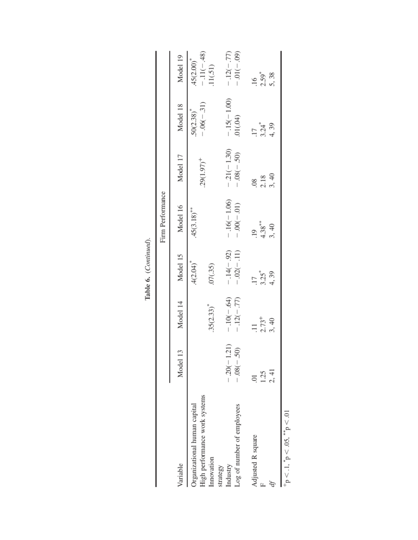|                                                                             |                                    |                                    | Table 6. (Continued).       | Firm Performance                       |                              |                                      |                                         |
|-----------------------------------------------------------------------------|------------------------------------|------------------------------------|-----------------------------|----------------------------------------|------------------------------|--------------------------------------|-----------------------------------------|
| Variable                                                                    | 13<br>Model                        | Model 14                           | Model 15                    | Model 16                               | Model 17                     | Model 18                             | Model 19                                |
| High performance work systems<br>Organizational human capital<br>Innovation |                                    | $.35(2.33)^*$                      | $4(2.04)^*$<br>.07(.35)     | $45(3.18)$ **                          | $.29(1.97)^{+}$              | $-.06(-31)$<br>$.50(2.38)^*$         | $-11(-.48)$<br>$45(2.00)^*$<br>.11(.51) |
| Log of number of employees<br>Industry<br>strategy                          | 1.21)<br>50)<br>$-080-$<br>$-20(-$ | $-10(-.64)$<br>$-12(-.77)$         | $-14(-.92)$<br>$-02(-.11)$  | $-.16(-1.06)$<br>$-0.00(-01)$          | $-21(-1.30)$<br>$-0.08(-50)$ | $-15(-1.00)$<br>$.01(.04)$           | $-12(-.77)$<br>$-0.01(-0.09)$           |
| Adjusted R square                                                           | $\frac{01}{1.25}$<br>2, 4          | $11$<br>2.73 <sup>+</sup><br>3, 40 | $\frac{17}{3.25}$ *<br>4,39 | $4.38***$<br>3, 40<br>$\overline{.}19$ | $08$<br>$2.18$<br>$3.40$     | $17 \over 3.24$ <sup>*</sup><br>4,39 | $\frac{16}{2.59}$<br>5,38               |
| p < 1, p < 0.05, p < 0.01                                                   |                                    |                                    |                             |                                        |                              |                                      |                                         |
|                                                                             |                                    |                                    |                             |                                        |                              |                                      |                                         |

| j |
|---|
|   |
|   |
| έ |
| ì |
| ∍ |
| ≊ |
|   |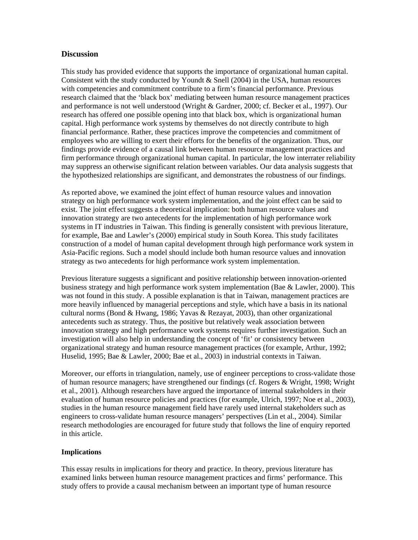## **Discussion**

This study has provided evidence that supports the importance of organizational human capital. Consistent with the study conducted by Youndt  $\&$  Snell (2004) in the USA, human resources with competencies and commitment contribute to a firm's financial performance. Previous research claimed that the 'black box' mediating between human resource management practices and performance is not well understood (Wright & Gardner, 2000; cf. Becker et al., 1997). Our research has offered one possible opening into that black box, which is organizational human capital. High performance work systems by themselves do not directly contribute to high financial performance. Rather, these practices improve the competencies and commitment of employees who are willing to exert their efforts for the benefits of the organization. Thus, our findings provide evidence of a causal link between human resource management practices and firm performance through organizational human capital. In particular, the low interrater reliability may suppress an otherwise significant relation between variables. Our data analysis suggests that the hypothesized relationships are significant, and demonstrates the robustness of our findings.

As reported above, we examined the joint effect of human resource values and innovation strategy on high performance work system implementation, and the joint effect can be said to exist. The joint effect suggests a theoretical implication: both human resource values and innovation strategy are two antecedents for the implementation of high performance work systems in IT industries in Taiwan. This finding is generally consistent with previous literature, for example, Bae and Lawler's (2000) empirical study in South Korea. This study facilitates construction of a model of human capital development through high performance work system in Asia-Pacific regions. Such a model should include both human resource values and innovation strategy as two antecedents for high performance work system implementation.

Previous literature suggests a significant and positive relationship between innovation-oriented business strategy and high performance work system implementation (Bae & Lawler, 2000). This was not found in this study. A possible explanation is that in Taiwan, management practices are more heavily influenced by managerial perceptions and style, which have a basis in its national cultural norms (Bond & Hwang, 1986; Yavas & Rezayat, 2003), than other organizational antecedents such as strategy. Thus, the positive but relatively weak association between innovation strategy and high performance work systems requires further investigation. Such an investigation will also help in understanding the concept of 'fit' or consistency between organizational strategy and human resource management practices (for example, Arthur, 1992; Huselid, 1995; Bae & Lawler, 2000; Bae et al., 2003) in industrial contexts in Taiwan.

Moreover, our efforts in triangulation, namely, use of engineer perceptions to cross-validate those of human resource managers; have strengthened our findings (cf. Rogers & Wright, 1998; Wright et al., 2001). Although researchers have argued the importance of internal stakeholders in their evaluation of human resource policies and practices (for example, Ulrich, 1997; Noe et al., 2003), studies in the human resource management field have rarely used internal stakeholders such as engineers to cross-validate human resource managers' perspectives (Lin et al., 2004). Similar research methodologies are encouraged for future study that follows the line of enquiry reported in this article.

#### **Implications**

This essay results in implications for theory and practice. In theory, previous literature has examined links between human resource management practices and firms' performance. This study offers to provide a causal mechanism between an important type of human resource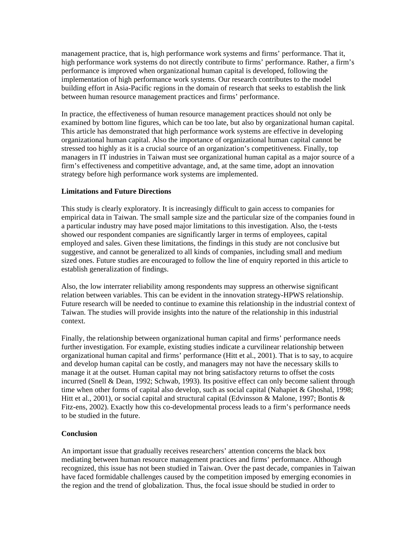management practice, that is, high performance work systems and firms' performance. That it, high performance work systems do not directly contribute to firms' performance. Rather, a firm's performance is improved when organizational human capital is developed, following the implementation of high performance work systems. Our research contributes to the model building effort in Asia-Pacific regions in the domain of research that seeks to establish the link between human resource management practices and firms' performance.

In practice, the effectiveness of human resource management practices should not only be examined by bottom line figures, which can be too late, but also by organizational human capital. This article has demonstrated that high performance work systems are effective in developing organizational human capital. Also the importance of organizational human capital cannot be stressed too highly as it is a crucial source of an organization's competitiveness. Finally, top managers in IT industries in Taiwan must see organizational human capital as a major source of a firm's effectiveness and competitive advantage, and, at the same time, adopt an innovation strategy before high performance work systems are implemented.

## **Limitations and Future Directions**

This study is clearly exploratory. It is increasingly difficult to gain access to companies for empirical data in Taiwan. The small sample size and the particular size of the companies found in a particular industry may have posed major limitations to this investigation. Also, the t-tests showed our respondent companies are significantly larger in terms of employees, capital employed and sales. Given these limitations, the findings in this study are not conclusive but suggestive, and cannot be generalized to all kinds of companies, including small and medium sized ones. Future studies are encouraged to follow the line of enquiry reported in this article to establish generalization of findings.

Also, the low interrater reliability among respondents may suppress an otherwise significant relation between variables. This can be evident in the innovation strategy-HPWS relationship. Future research will be needed to continue to examine this relationship in the industrial context of Taiwan. The studies will provide insights into the nature of the relationship in this industrial context.

Finally, the relationship between organizational human capital and firms' performance needs further investigation. For example, existing studies indicate a curvilinear relationship between organizational human capital and firms' performance (Hitt et al., 2001). That is to say, to acquire and develop human capital can be costly, and managers may not have the necessary skills to manage it at the outset. Human capital may not bring satisfactory returns to offset the costs incurred (Snell & Dean, 1992; Schwab, 1993). Its positive effect can only become salient through time when other forms of capital also develop, such as social capital (Nahapiet & Ghoshal, 1998; Hitt et al., 2001), or social capital and structural capital (Edvinsson & Malone, 1997; Bontis & Fitz-ens, 2002). Exactly how this co-developmental process leads to a firm's performance needs to be studied in the future.

#### **Conclusion**

An important issue that gradually receives researchers' attention concerns the black box mediating between human resource management practices and firms' performance. Although recognized, this issue has not been studied in Taiwan. Over the past decade, companies in Taiwan have faced formidable challenges caused by the competition imposed by emerging economies in the region and the trend of globalization. Thus, the focal issue should be studied in order to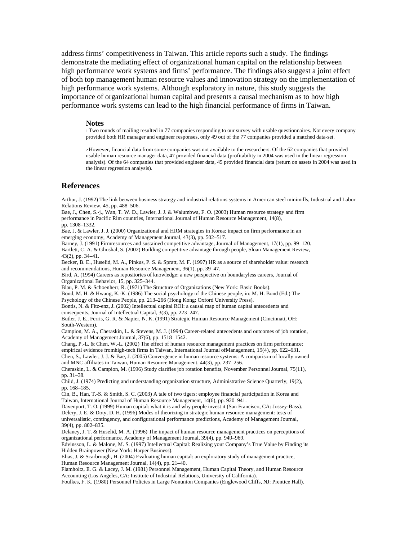address firms' competitiveness in Taiwan. This article reports such a study. The findings demonstrate the mediating effect of organizational human capital on the relationship between high performance work systems and firms' performance. The findings also suggest a joint effect of both top management human resource values and innovation strategy on the implementation of high performance work systems. Although exploratory in nature, this study suggests the importance of organizational human capital and presents a causal mechanism as to how high performance work systems can lead to the high financial performance of firms in Taiwan.

#### **Notes**

1 Two rounds of mailing resulted in 77 companies responding to our survey with usable questionnaires. Not every company provided both HR manager and engineer responses, only 49 out of the 77 companies provided a matched data-set.

2 However, financial data from some companies was not available to the researchers. Of the 62 companies that provided usable human resource manager data, 47 provided financial data (profitability in 2004 was used in the linear regression analysis). Of the 64 companies that provided engineer data, 45 provided financial data (return on assets in 2004 was used in the linear regression analysis).

#### **References**

Arthur, J. (1992) The link between business strategy and industrial relations systems in American steel minimills, Industrial and Labor Relations Review, 45, pp. 488–506.

Bae, J., Chen, S.-j., Wan, T. W. D., Lawler, J. J. & Walumbwa, F. O. (2003) Human resource strategy and firm performance in Pacific Rim countries, International Journal of Human Resource Management, 14(8), pp. 1308–1332.

Bae, J. & Lawler, J. J. (2000) Organizational and HRM strategies in Korea: impact on firm performance in an emerging economy, Academy of Management Journal, 43(3), pp. 502–517.

Barney, J. (1991) Firmresources and sustained competitive advantage, Journal of Management, 17(1), pp. 99–120. Bartlett, C. A. & Ghoshal, S. (2002) Building competitive advantage through people, Sloan Management Review, 43(2), pp. 34–41.

Becker, B. E., Huselid, M. A., Pinkus, P. S. & Spratt, M. F. (1997) HR as a source of shareholder value: research and recommendations, Human Resource Management, 36(1), pp. 39–47.

Bird, A. (1994) Careers as repositories of knowledge: a new perspective on boundaryless careers, Journal of Organizational Behavior, 15, pp. 325–344.

Blau, P. M. & Schoenherr, R. (1971) The Structure of Organizations (New York: Basic Books).

Bond, M. H. & Hwang, K.-K. (1986) The social psychology of the Chinese people, in: M. H. Bond (Ed.) The Psychology of the Chinese People, pp. 213–266 (Hong Kong: Oxford University Press).

Bontis, N. & Fitz-enz, J. (2002) Intellectual capital ROI: a causal map of human capital antecedents and consequents, Journal of Intellectual Capital, 3(3), pp. 223–247.

Butler, J. E., Ferris, G. R. & Napier, N. K. (1991) Strategic Human Resource Management (Cincinnati, OH: South-Western).

Campion, M. A., Cheraskin, L. & Stevens, M. J. (1994) Career-related antecedents and outcomes of job rotation, Academy of Management Journal, 37(6), pp. 1518–1542.

Chang, P.-L. & Chen, W.-L. (2002) The effect of human resource management practices on firm performance: empirical evidence fromhigh-tech firms in Taiwan, International Journal ofManagement, 19(4), pp. 622–631.

Chen, S., Lawler, J. J. & Bae, J. (2005) Convergence in human resource systems: A comparison of locally owned and MNC affiliates in Taiwan, Human Resource Management, 44(3), pp. 237–256.

Cheraskin, L. & Campion, M. (1996) Study clarifies job rotation benefits, November Personnel Journal, 75(11), pp. 31–38.

Child, J. (1974) Predicting and understanding organization structure, Administrative Science Quarterly, 19(2), pp. 168–185.

Cin, B., Han, T.-S. & Smith, S. C. (2003) A tale of two tigers: employee financial participation in Korea and Taiwan, International Journal of Human Resource Management, 14(6), pp. 920–941.

Davenport, T. O. (1999) Human capital: what it is and why people invest it (San Francisco, CA: Jossey-Bass). Delery, J. E. & Doty, D. H. (1996) Modes of theorizing in strategic human resource management: tests of universalistic, contingency, and configurational performance predictions, Academy of Management Journal, 39(4), pp. 802–835.

Delaney, J. T. & Huselid, M. A. (1996) The impact of human resource management practices on perceptions of organizational performance, Academy of Management Journal, 39(4), pp. 949–969.

Edvinsson, L. & Malone, M. S. (1997) Intellectual Capital: Realizing your Company's True Value by Finding its Hidden Brainpower (New York: Harper Business).

Elias, J. & Scarbrough, H. (2004) Evaluating human capital: an exploratory study of management practice, Human Resource Management Journal, 14(4), pp. 21–40.

Flamholtz, E. G. & Lacey, J. M. (1981) Personnel Management, Human Capital Theory, and Human Resource Accounting (Los Angeles, CA: Institute of Industrial Relations, University of California).

Foulkes, F. K. (1980) Personnel Policies in Large Nonunion Companies (Englewood Cliffs, NJ: Prentice Hall).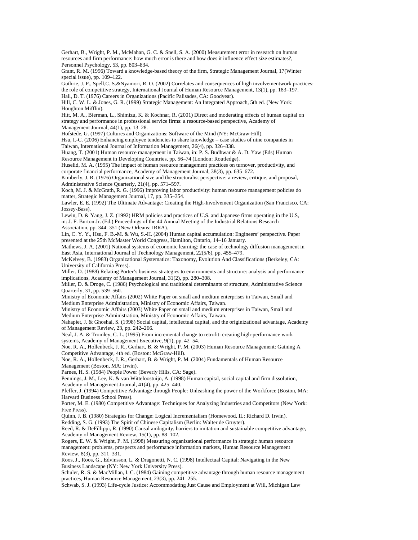Gerhart, B., Wright, P. M., McMahan, G. C. & Snell, S. A. (2000) Measurement error in research on human resources and firm performance: how much error is there and how does it influence effect size estimates?, Personnel Psychology, 53, pp. 803–834.

Grant, R. M. (1996) Toward a knowledge-based theory of the firm, Strategic Management Journal, 17(Winter special issue), pp. 109–122.

Guthrie, J. P., Spell,C. S.&Nyamori, R. O. (2002) Correlates and consequences of high involvementwork practices: the role of competitive strategy, International Journal of Human Resource Management, 13(1), pp. 183–197. Hall, D. T. (1976) Careers in Organizations (Pacific Palisades, CA: Goodyear).

Hill, C. W. L. & Jones, G. R. (1999) Strategic Management: An Integrated Approach, 5th ed. (New York: Houghton Mifflin).

Hitt, M. A., Bierman, L., Shimizu, K. & Kochnar, R. (2001) Direct and moderating effects of human capital on strategy and performance in professional service firms: a resource-based perspective, Academy of Management Journal, 44(1), pp. 13–28.

Hofstede, G. (1997) Cultures and Organizations: Software of the Mind (NY: McGraw-Hill).

Hsu, I.-C. (2006) Enhancing employee tendencies to share knowledge – case studies of nine companies in Taiwan, International Journal of Information Management, 26(4), pp. 326–338.

Huang, T. (2001) Human resource management in Taiwan, in: P. S. Budhwar & A. D. Yaw (Eds) Human Resource Management in Developing Countries, pp. 56–74 (London: Routledge).

Huselid, M. A. (1995) The impact of human resource management practices on turnover, productivity, and corporate financial performance, Academy of Management Journal, 38(3), pp. 635–672.

Kimberly, J. R. (1976) Organizational size and the structuralist perspective: a review, critique, and proposal, Administrative Science Quarterly, 21(4), pp. 571–597.

Koch, M. J. & McGrath, R. G. (1996) Improving labor productivity: human resource management policies do matter, Strategic Management Journal, 17, pp. 335–354.

Lawler, E. E. (1992) The Ultimate Advantage: Creating the High-Involvement Organization (San Francisco, CA: Jossey-Bass).

Lewin, D. & Yang, J. Z. (1992) HRM policies and practices of U.S. and Japanese firms operating in the U.S, in: J. F. Burton Jr. (Ed.) Proceedings of the 44 Annual Meeting of the Industrial Relations Research Association, pp. 344–351 (New Orleans: IRRA).

Lin, C. Y. Y., Hsu, F. B.-M. & Wu, S.-H. (2004) Human capital accumulation: Engineers' perspective. Paper presented at the 25th McMaster World Congress, Hamilton, Ontario, 14–16 January.

Mathews, J. A. (2001) National systems of economic learning: the case of technology diffusion management in East Asia, International Journal of Technology Management, 22(5/6), pp. 455–479.

McKelvey, B. (1983) Organizational Systematics: Taxonomy, Evolution And Classifications (Berkeley, CA: University of California Press).

Miller, D. (1988) Relating Porter's business strategies to environments and structure: analysis and performance implications, Academy of Management Journal, 31(2), pp. 280–308.

Miller, D. & Droge, C. (1986) Psychological and traditional determinants of structure, Administrative Science Quarterly, 31, pp. 539–560.

Ministry of Economic Affairs (2002) White Paper on small and medium enterprises in Taiwan, Small and Medium Enterprise Administration, Ministry of Economic Affairs, Taiwan.

Ministry of Economic Affairs (2003) White Paper on small and medium enterprises in Taiwan, Small and Medium Enterprise Administration, Ministry of Economic Affairs, Taiwan.

Nahapiet, J. & Ghoshal, S. (1998) Social capital, intellectual capital, and the originizational advantage, Academy of Management Review, 23, pp. 242–266.

Neal, J. A. & Tromley, C. L. (1995) From incremental change to retrofit: creating high-performance work systems, Academy of Management Executive, 9(1), pp. 42–54.

Noe, R. A., Hollenbeck, J. R., Gerhart, B. & Wright, P. M. (2003) Human Resource Management: Gaining A Competitive Advantage, 4th ed. (Boston: McGraw-Hill).

Noe, R. A., Hollenbeck, J. R., Gerhart, B. & Wright, P. M. (2004) Fundamentals of Human Resource Management (Boston, MA: Irwin).

Parnes, H. S. (1984) People Power (Beverly Hills, CA: Sage).

Pennings, J. M., Lee, K. & van Witteloostuijn, A. (1998) Human capital, social capital and firm dissolution, Academy of Management Journal, 41(4), pp. 425–440.

Pfeffer, J. (1994) Competitive Advantage through People: Unleashing the power of the Workforce (Boston, MA: Harvard Business School Press).

Porter, M. E. (1980) Competitive Advantage: Techniques for Analyzing Industries and Competitors (New York: Free Press).

Quinn, J. B. (1980) Strategies for Change: Logical Incrementalism (Homewood, IL: Richard D. Irwin).

Redding, S. G. (1993) The Spirit of Chinese Capitalism (Berlin: Walter de Gruyter).

Reed, R. & DeFillippi, R. (1990) Causal ambiguity, barriers to imitation and sustainable competitive advantage, Academy of Management Review, 15(1), pp. 88–102.

Rogers, E. W. & Wright, P. M. (1998) Measuring organizational performance in strategic human resource management: problems, prospects and performance information markets, Human Resource Management Review, 8(3), pp. 311–331.

Roos, J., Roos, G., Edvinsson, L. & Dragonetti, N. C. (1998) Intellectual Capital: Navigating in the New Business Landscape (NY: New York University Press).

Schuler, R. S. & MacMillan, I. C. (1984) Gaining competitive advantage through human resource management practices, Human Resource Management, 23(3), pp. 241–255.

Schwab, S. J. (1993) Life-cycle Justice: Accommodating Just Cause and Employment at Will, Michigan Law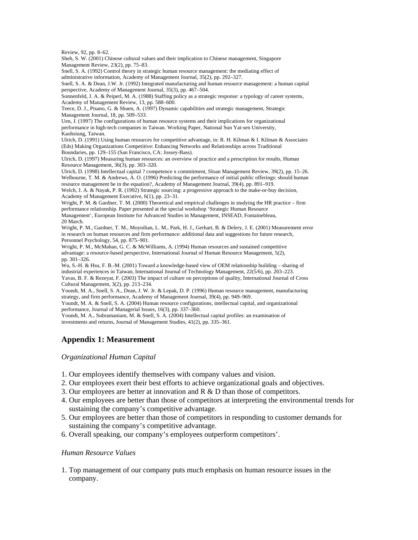Review, 92, pp. 8–62.

Sheh, S. W. (2001) Chinese cultural values and their implication to Chinese management, Singapore Management Review, 23(2), pp. 75–83.

Snell, S. A. (1992) Control theory in strategic human resource management: the mediating effect of administrative information, Academy of Management Journal, 35(2), pp. 292–327.

Snell, S. A. & Dean, J.W. Jr. (1992) Integrated manufacturing and human resource management: a human capital perspective, Academy of Management Journal, 35(3), pp. 467–504.

Sonnenfeld, J. A. & Peiperl, M. A. (1988) Staffing policy as a strategic response: a typology of career systems, Academy of Management Review, 13, pp. 588–600.

Teece, D. J., Pisano, G. & Shuen, A. (1997) Dynamic capabilities and strategic management, Strategic Management Journal, 18, pp. 509–533.

Uen, J. (1997) The configurations of human resource systems and their implications for organizational performance in high-tech companies in Taiwan. Working Paper, National Sun Yat-sen University, Kaohsiung, Taiwan.

Ulrich, D. (1991) Using human resources for competitive advantage, in: R. H. Kilman & I. Kilman & Associates (Eds) Making Organizations Competitive: Enhancing Networks and Relationships across Traditional Boundaries, pp. 129–155 (San Francisco, CA: Jossey-Bass).

Ulrich, D. (1997) Measuring human resources: an overview of practice and a prescription for results, Human Resource Management, 36(3), pp. 303–320.

Ulrich, D. (1998) Intellectual capital ? competence x commitment, Sloan Management Review, 39(2), pp. 15–26. Welbourne, T. M. & Andrews, A. O. (1996) Predicting the performance of initial public offerings: should human resource management be in the equation?, Academy of Management Journal, 39(4), pp. 891–919.

Welch, J. A. & Nayak, P. R. (1992) Strategic sourcing: a progressive approach to the make-or-buy decision, Academy of Management Executive, 6(1), pp. 23–31.

Wright, P. M. & Gardner, T. M. (2000) Theoretical and empirical challenges in studying the HR practice – firm performance relationship. Paper presented at the special workshop 'Strategic Human Resource Management', European Institute for Advanced Studies in Management, INSEAD, Fontainebleau, 20 March.

Wright, P. M., Gardner, T. M., Moynihan, L. M., Park, H. J., Gerhart, B. & Delery, J. E. (2001) Measurement error in research on human resources and firm performance: additional data and suggestions for future research, Personnel Psychology, 54, pp. 875–901.

Wright, P. M., McMahan, G. C. & McWilliams, A. (1994) Human resources and sustained competitive advantage: a resource-based perspective, International Journal of Human Resource Management, 5(2), pp. 301–326.

Wu, S.-H. & Hsu, F. B.-M. (2001) Toward a knowledge-based view of OEM relationship building – sharing of industrial experiences in Taiwan, International Journal of Technology Management, 22(5/6), pp. 203–223. Yavas, B. F. & Rezeyat, F. (2003) The impact of culture on perceptions of quality, International Journal of Cross Cultural Management, 3(2), pp. 213–234.

Youndt, M. A., Snell, S. A., Dean, J. W. Jr. & Lepak, D. P. (1996) Human resource management, manufacturing strategy, and firm performance, Academy of Management Journal, 39(4), pp. 949–969.

Youndt, M. A. & Snell, S. A. (2004) Human resource configurations, intellectual capital, and organizational performance, Journal of Managerial Issues, 16(3), pp. 337–360.

Youndt, M. A., Subramaniam, M. & Snell, S. A. (2004) Intellectual capital profiles: an examination of investments and returns, Journal of Management Studies, 41(2), pp. 335–361.

## **Appendix 1: Measurement**

#### *Organizational Human Capital*

- 1. Our employees identify themselves with company values and vision.
- 2. Our employees exert their best efforts to achieve organizational goals and objectives.
- 3. Our employees are better at innovation and  $R \& D$  than those of competitors.
- 4. Our employees are better than those of competitors at interpreting the environmental trends for sustaining the company's competitive advantage.
- 5. Our employees are better than those of competitors in responding to customer demands for sustaining the company's competitive advantage.
- 6. Overall speaking, our company's employees outperform competitors'.

#### *Human Resource Values*

1. Top management of our company puts much emphasis on human resource issues in the company.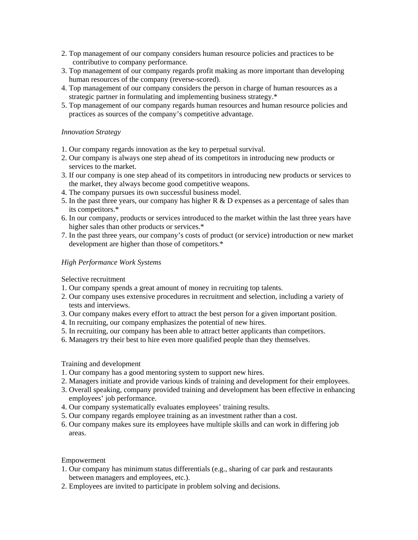- 2. Top management of our company considers human resource policies and practices to be contributive to company performance.
- 3. Top management of our company regards profit making as more important than developing human resources of the company (reverse-scored).
- 4. Top management of our company considers the person in charge of human resources as a strategic partner in formulating and implementing business strategy.\*
- 5. Top management of our company regards human resources and human resource policies and practices as sources of the company's competitive advantage.

### *Innovation Strategy*

- 1. Our company regards innovation as the key to perpetual survival.
- 2. Our company is always one step ahead of its competitors in introducing new products or services to the market.
- 3. If our company is one step ahead of its competitors in introducing new products or services to the market, they always become good competitive weapons.
- 4. The company pursues its own successful business model.
- 5. In the past three years, our company has higher  $R \& D$  expenses as a percentage of sales than its competitors.\*
- 6. In our company, products or services introduced to the market within the last three years have higher sales than other products or services.\*
- 7. In the past three years, our company's costs of product (or service) introduction or new market development are higher than those of competitors.\*

## *High Performance Work Systems*

#### Selective recruitment

- 1. Our company spends a great amount of money in recruiting top talents.
- 2. Our company uses extensive procedures in recruitment and selection, including a variety of tests and interviews.
- 3. Our company makes every effort to attract the best person for a given important position.
- 4. In recruiting, our company emphasizes the potential of new hires.
- 5. In recruiting, our company has been able to attract better applicants than competitors.
- 6. Managers try their best to hire even more qualified people than they themselves.

#### Training and development

- 1. Our company has a good mentoring system to support new hires.
- 2. Managers initiate and provide various kinds of training and development for their employees.
- 3. Overall speaking, company provided training and development has been effective in enhancing employees' job performance.
- 4. Our company systematically evaluates employees' training results.
- 5. Our company regards employee training as an investment rather than a cost.
- 6. Our company makes sure its employees have multiple skills and can work in differing job areas.

#### Empowerment

- 1. Our company has minimum status differentials (e.g., sharing of car park and restaurants between managers and employees, etc.).
- 2. Employees are invited to participate in problem solving and decisions.